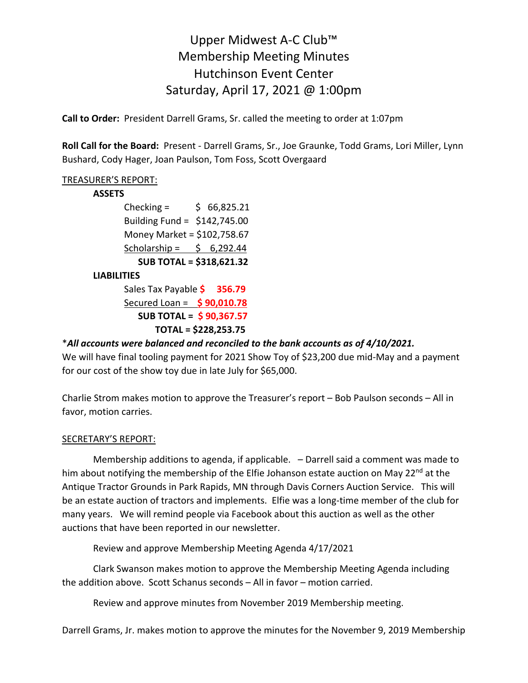# Upper Midwest A-C Club™ Membership Meeting Minutes Hutchinson Event Center Saturday, April 17, 2021 @ 1:00pm

**Call to Order:** President Darrell Grams, Sr. called the meeting to order at 1:07pm

**Roll Call for the Board:** Present - Darrell Grams, Sr., Joe Graunke, Todd Grams, Lori Miller, Lynn Bushard, Cody Hager, Joan Paulson, Tom Foss, Scott Overgaard

## TREASURER'S REPORT:

#### **ASSETS**

Checking =  $$66,825.21$ Building Fund = \$142,745.00 Money Market = \$102,758.67 Scholarship =  $\frac{1}{2}$  6,292.44  **SUB TOTAL = \$318,621.32**

#### **LIABILITIES**

Sales Tax Payable **\$ 356.79** Secured Loan = **\$ 90,010.78 SUB TOTAL = \$ 90,367.57 TOTAL = \$228,253.75**

### \**All accounts were balanced and reconciled to the bank accounts as of 4/10/2021.*

We will have final tooling payment for 2021 Show Toy of \$23,200 due mid-May and a payment for our cost of the show toy due in late July for \$65,000.

Charlie Strom makes motion to approve the Treasurer's report – Bob Paulson seconds – All in favor, motion carries.

#### SECRETARY'S REPORT:

Membership additions to agenda, if applicable. – Darrell said a comment was made to him about notifying the membership of the Elfie Johanson estate auction on May 22<sup>nd</sup> at the Antique Tractor Grounds in Park Rapids, MN through Davis Corners Auction Service. This will be an estate auction of tractors and implements. Elfie was a long-time member of the club for many years. We will remind people via Facebook about this auction as well as the other auctions that have been reported in our newsletter.

Review and approve Membership Meeting Agenda 4/17/2021

Clark Swanson makes motion to approve the Membership Meeting Agenda including the addition above. Scott Schanus seconds – All in favor – motion carried.

Review and approve minutes from November 2019 Membership meeting.

Darrell Grams, Jr. makes motion to approve the minutes for the November 9, 2019 Membership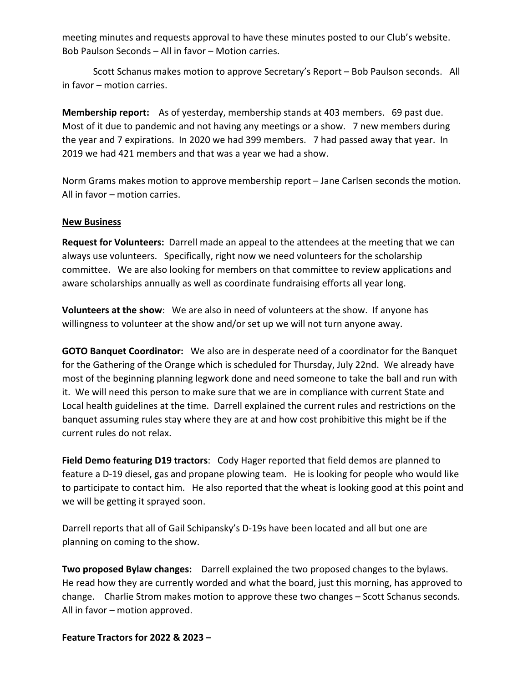meeting minutes and requests approval to have these minutes posted to our Club's website. Bob Paulson Seconds – All in favor – Motion carries.

Scott Schanus makes motion to approve Secretary's Report – Bob Paulson seconds. All in favor – motion carries.

**Membership report:** As of yesterday, membership stands at 403 members. 69 past due. Most of it due to pandemic and not having any meetings or a show. 7 new members during the year and 7 expirations. In 2020 we had 399 members. 7 had passed away that year. In 2019 we had 421 members and that was a year we had a show.

Norm Grams makes motion to approve membership report – Jane Carlsen seconds the motion. All in favor – motion carries.

#### **New Business**

**Request for Volunteers:** Darrell made an appeal to the attendees at the meeting that we can always use volunteers. Specifically, right now we need volunteers for the scholarship committee. We are also looking for members on that committee to review applications and aware scholarships annually as well as coordinate fundraising efforts all year long.

**Volunteers at the show**: We are also in need of volunteers at the show. If anyone has willingness to volunteer at the show and/or set up we will not turn anyone away.

**GOTO Banquet Coordinator:** We also are in desperate need of a coordinator for the Banquet for the Gathering of the Orange which is scheduled for Thursday, July 22nd. We already have most of the beginning planning legwork done and need someone to take the ball and run with it. We will need this person to make sure that we are in compliance with current State and Local health guidelines at the time. Darrell explained the current rules and restrictions on the banquet assuming rules stay where they are at and how cost prohibitive this might be if the current rules do not relax.

**Field Demo featuring D19 tractors**: Cody Hager reported that field demos are planned to feature a D-19 diesel, gas and propane plowing team. He is looking for people who would like to participate to contact him. He also reported that the wheat is looking good at this point and we will be getting it sprayed soon.

Darrell reports that all of Gail Schipansky's D-19s have been located and all but one are planning on coming to the show.

**Two proposed Bylaw changes:** Darrell explained the two proposed changes to the bylaws. He read how they are currently worded and what the board, just this morning, has approved to change. Charlie Strom makes motion to approve these two changes – Scott Schanus seconds. All in favor – motion approved.

**Feature Tractors for 2022 & 2023 –**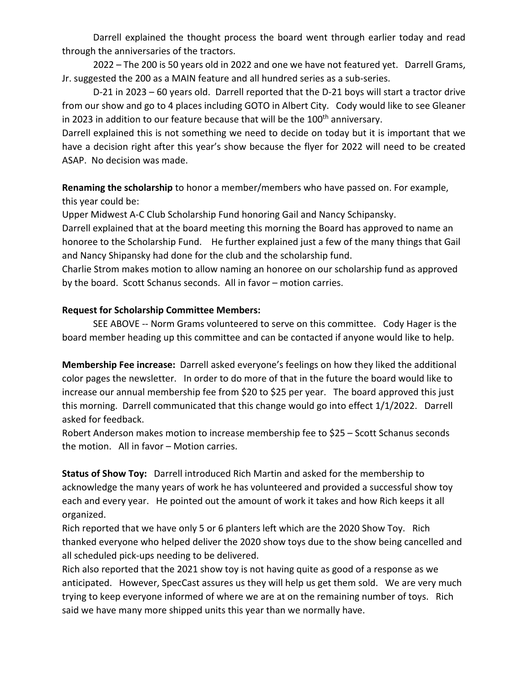Darrell explained the thought process the board went through earlier today and read through the anniversaries of the tractors.

2022 – The 200 is 50 years old in 2022 and one we have not featured yet. Darrell Grams, Jr. suggested the 200 as a MAIN feature and all hundred series as a sub-series.

D-21 in 2023 – 60 years old. Darrell reported that the D-21 boys will start a tractor drive from our show and go to 4 places including GOTO in Albert City. Cody would like to see Gleaner in 2023 in addition to our feature because that will be the 100<sup>th</sup> anniversary.

Darrell explained this is not something we need to decide on today but it is important that we have a decision right after this year's show because the flyer for 2022 will need to be created ASAP. No decision was made.

**Renaming the scholarship** to honor a member/members who have passed on. For example, this year could be:

Upper Midwest A-C Club Scholarship Fund honoring Gail and Nancy Schipansky.

Darrell explained that at the board meeting this morning the Board has approved to name an honoree to the Scholarship Fund. He further explained just a few of the many things that Gail and Nancy Shipansky had done for the club and the scholarship fund.

Charlie Strom makes motion to allow naming an honoree on our scholarship fund as approved by the board. Scott Schanus seconds. All in favor – motion carries.

#### **Request for Scholarship Committee Members:**

SEE ABOVE -- Norm Grams volunteered to serve on this committee. Cody Hager is the board member heading up this committee and can be contacted if anyone would like to help.

**Membership Fee increase:** Darrell asked everyone's feelings on how they liked the additional color pages the newsletter. In order to do more of that in the future the board would like to increase our annual membership fee from \$20 to \$25 per year. The board approved this just this morning. Darrell communicated that this change would go into effect 1/1/2022. Darrell asked for feedback.

Robert Anderson makes motion to increase membership fee to \$25 – Scott Schanus seconds the motion. All in favor – Motion carries.

**Status of Show Toy:** Darrell introduced Rich Martin and asked for the membership to acknowledge the many years of work he has volunteered and provided a successful show toy each and every year. He pointed out the amount of work it takes and how Rich keeps it all organized.

Rich reported that we have only 5 or 6 planters left which are the 2020 Show Toy. Rich thanked everyone who helped deliver the 2020 show toys due to the show being cancelled and all scheduled pick-ups needing to be delivered.

Rich also reported that the 2021 show toy is not having quite as good of a response as we anticipated. However, SpecCast assures us they will help us get them sold. We are very much trying to keep everyone informed of where we are at on the remaining number of toys. Rich said we have many more shipped units this year than we normally have.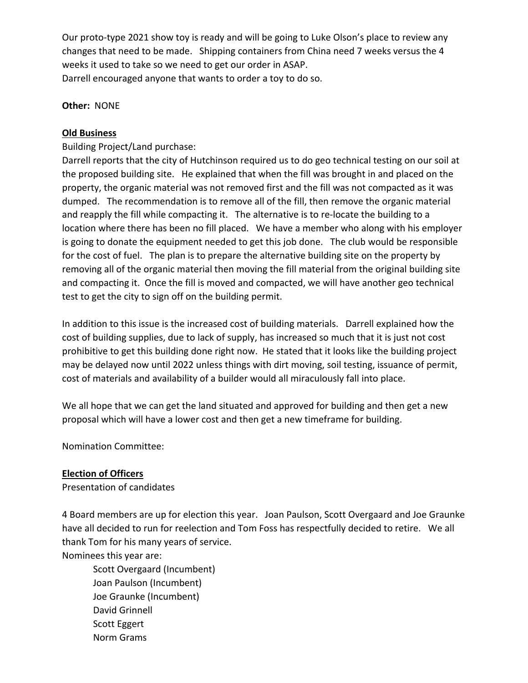Our proto-type 2021 show toy is ready and will be going to Luke Olson's place to review any changes that need to be made. Shipping containers from China need 7 weeks versus the 4 weeks it used to take so we need to get our order in ASAP. Darrell encouraged anyone that wants to order a toy to do so.

**Other:** NONE

#### **Old Business**

Building Project/Land purchase:

Darrell reports that the city of Hutchinson required us to do geo technical testing on our soil at the proposed building site. He explained that when the fill was brought in and placed on the property, the organic material was not removed first and the fill was not compacted as it was dumped. The recommendation is to remove all of the fill, then remove the organic material and reapply the fill while compacting it. The alternative is to re-locate the building to a location where there has been no fill placed. We have a member who along with his employer is going to donate the equipment needed to get this job done. The club would be responsible for the cost of fuel. The plan is to prepare the alternative building site on the property by removing all of the organic material then moving the fill material from the original building site and compacting it. Once the fill is moved and compacted, we will have another geo technical test to get the city to sign off on the building permit.

In addition to this issue is the increased cost of building materials. Darrell explained how the cost of building supplies, due to lack of supply, has increased so much that it is just not cost prohibitive to get this building done right now. He stated that it looks like the building project may be delayed now until 2022 unless things with dirt moving, soil testing, issuance of permit, cost of materials and availability of a builder would all miraculously fall into place.

We all hope that we can get the land situated and approved for building and then get a new proposal which will have a lower cost and then get a new timeframe for building.

Nomination Committee:

#### **Election of Officers**

Presentation of candidates

4 Board members are up for election this year. Joan Paulson, Scott Overgaard and Joe Graunke have all decided to run for reelection and Tom Foss has respectfully decided to retire. We all thank Tom for his many years of service.

Nominees this year are:

Scott Overgaard (Incumbent) Joan Paulson (Incumbent) Joe Graunke (Incumbent) David Grinnell Scott Eggert Norm Grams